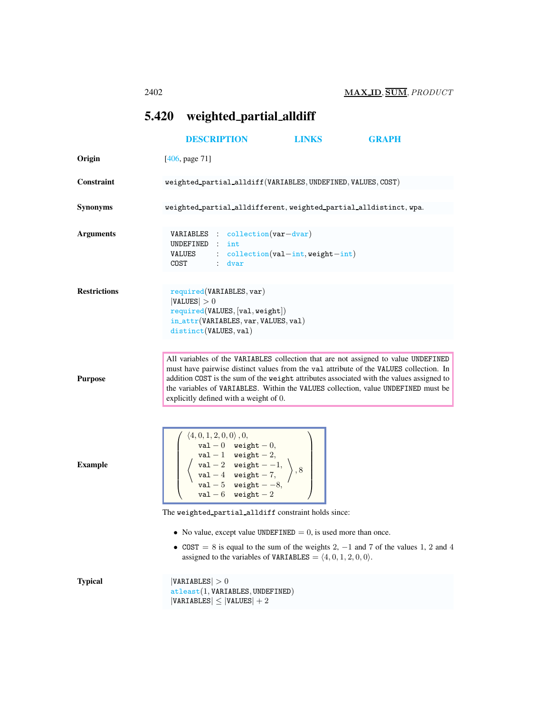## <span id="page-0-0"></span>5.420 weighted partial alldiff

|                     | <b>DESCRIPTION</b>                                                                                                                                                                                                                                                                                                                                                                                      | <b>LINKS</b>                         | <b>GRAPH</b>                                                                         |
|---------------------|---------------------------------------------------------------------------------------------------------------------------------------------------------------------------------------------------------------------------------------------------------------------------------------------------------------------------------------------------------------------------------------------------------|--------------------------------------|--------------------------------------------------------------------------------------|
| Origin              | [406, page 71]                                                                                                                                                                                                                                                                                                                                                                                          |                                      |                                                                                      |
| Constraint          | weighted_partial_alldiff(VARIABLES, UNDEFINED, VALUES, COST)                                                                                                                                                                                                                                                                                                                                            |                                      |                                                                                      |
| <b>Synonyms</b>     | weighted_partial_alldifferent, weighted_partial_alldistinct, wpa.                                                                                                                                                                                                                                                                                                                                       |                                      |                                                                                      |
| <b>Arguments</b>    | VARIABLES : collection (var-dvar)<br>UNDEFINED : int<br>VALUES<br>$:$ dvar<br>COST                                                                                                                                                                                                                                                                                                                      | $: $ collection(val-int, weight-int) |                                                                                      |
| <b>Restrictions</b> | required(VARIABLES, var)<br> VALUES  > 0<br>required(VALUES, [val, weight])<br>$in\_attr(VARIABLES, var, VALUES, val)$<br>distinct(VALUES, val)                                                                                                                                                                                                                                                         |                                      |                                                                                      |
| <b>Purpose</b>      | All variables of the VARIABLES collection that are not assigned to value UNDEFINED<br>must have pairwise distinct values from the val attribute of the VALUES collection. In<br>addition COST is the sum of the weight attributes associated with the values assigned to<br>the variables of VARIABLES. Within the VALUES collection, value UNDEFINED must be<br>explicitly defined with a weight of 0. |                                      |                                                                                      |
| <b>Example</b>      | $\left(\begin{array}{c}\n\langle 4,0,1,2,0,0\rangle\,,0,\\ \text{val } -0 \quad \text{weight } -0,\\ \text{val } -1 \quad \text{weight } -2,\\ \text{val } -2 \quad \text{weight } -1,\\ \text{val } -4 \quad \text{weight } -7,\\ \text{val } -5 \quad \text{weight } -8,\\ \text{val } -6 \quad \text{weight } -2\n\end{array}\right)\right)$                                                         |                                      |                                                                                      |
|                     | The weighted_partial_alldiff constraint holds since:                                                                                                                                                                                                                                                                                                                                                    |                                      |                                                                                      |
|                     | • No value, except value UNDEFINED $= 0$ , is used more than once.<br>assigned to the variables of VARIABLES = $(4, 0, 1, 2, 0, 0)$ .                                                                                                                                                                                                                                                                   |                                      | • COST = 8 is equal to the sum of the weights 2, $-1$ and 7 of the values 1, 2 and 4 |
| <b>Typical</b>      | VARIABLES  > 0<br>attleast(1, VARIABLES, UNDERINED)<br>$ VARIABLES  \leq  VALUES  + 2$                                                                                                                                                                                                                                                                                                                  |                                      |                                                                                      |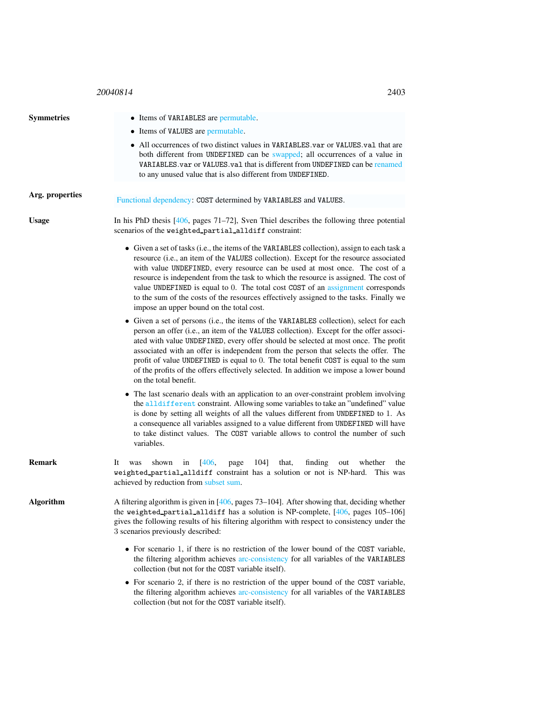## <sup>20040814</sup> 2403

| <b>Symmetries</b> | • Items of VARIABLES are permutable.                                                                                                                                                                                                                                                                                                                                                                                                                                                                                                                                                  |  |  |
|-------------------|---------------------------------------------------------------------------------------------------------------------------------------------------------------------------------------------------------------------------------------------------------------------------------------------------------------------------------------------------------------------------------------------------------------------------------------------------------------------------------------------------------------------------------------------------------------------------------------|--|--|
|                   | • Items of VALUES are permutable.<br>• All occurrences of two distinct values in VARIABLES.var or VALUES.val that are<br>both different from UNDEFINED can be swapped; all occurrences of a value in<br>VARIABLES. var or VALUES. val that is different from UNDEFINED can be renamed<br>to any unused value that is also different from UNDEFINED.                                                                                                                                                                                                                                   |  |  |
|                   |                                                                                                                                                                                                                                                                                                                                                                                                                                                                                                                                                                                       |  |  |
| Arg. properties   | Functional dependency: COST determined by VARIABLES and VALUES.                                                                                                                                                                                                                                                                                                                                                                                                                                                                                                                       |  |  |
| <b>Usage</b>      | In his PhD thesis $[406,$ pages 71–72], Sven Thiel describes the following three potential<br>scenarios of the weighted_partial_alldiff constraint:                                                                                                                                                                                                                                                                                                                                                                                                                                   |  |  |
|                   | • Given a set of tasks (i.e., the items of the VARIABLES collection), assign to each task a<br>resource (i.e., an item of the VALUES collection). Except for the resource associated<br>with value UNDEFINED, every resource can be used at most once. The cost of a<br>resource is independent from the task to which the resource is assigned. The cost of<br>value UNDEFINED is equal to 0. The total cost COST of an assignment corresponds<br>to the sum of the costs of the resources effectively assigned to the tasks. Finally we<br>impose an upper bound on the total cost. |  |  |
|                   | • Given a set of persons (i.e., the items of the VARIABLES collection), select for each<br>person an offer (i.e., an item of the VALUES collection). Except for the offer associ-<br>ated with value UNDEFINED, every offer should be selected at most once. The profit<br>associated with an offer is independent from the person that selects the offer. The<br>profit of value UNDEFINED is equal to 0. The total benefit COST is equal to the sum<br>of the profits of the offers effectively selected. In addition we impose a lower bound<br>on the total benefit.              |  |  |
|                   | • The last scenario deals with an application to an over-constraint problem involving<br>the alldifferent constraint. Allowing some variables to take an "undefined" value<br>is done by setting all weights of all the values different from UNDEFINED to 1. As<br>a consequence all variables assigned to a value different from UNDEFINED will have<br>to take distinct values. The COST variable allows to control the number of such<br>variables.                                                                                                                               |  |  |
| <b>Remark</b>     | 406,<br>104]<br>finding<br>It<br>shown<br>in<br>that,<br>whether<br>was<br>page<br>out<br>the<br>weighted_partial_alldiff constraint has a solution or not is NP-hard. This was<br>achieved by reduction from subset sum.                                                                                                                                                                                                                                                                                                                                                             |  |  |
| <b>Algorithm</b>  | A filtering algorithm is given in $[406,$ pages $73-104$ ]. After showing that, deciding whether<br>the weighted_partial_alldiff has a solution is NP-complete, [406, pages 105-106]<br>gives the following results of his filtering algorithm with respect to consistency under the<br>3 scenarios previously described:                                                                                                                                                                                                                                                             |  |  |
|                   | • For scenario 1, if there is no restriction of the lower bound of the COST variable,<br>the filtering algorithm achieves arc-consistency for all variables of the VARIABLES<br>collection (but not for the COST variable itself).                                                                                                                                                                                                                                                                                                                                                    |  |  |
|                   | • For scenario 2, if there is no restriction of the upper bound of the COST variable,<br>the filtering algorithm achieves arc-consistency for all variables of the VARIABLES<br>collection (but not for the COST variable itself).                                                                                                                                                                                                                                                                                                                                                    |  |  |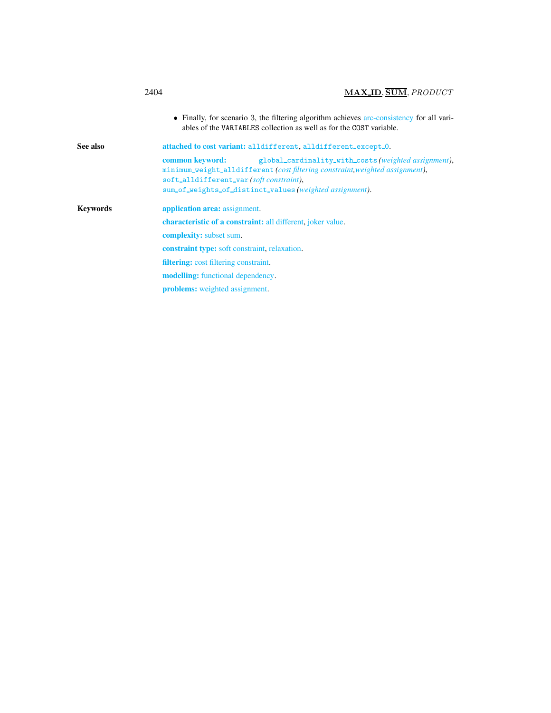<span id="page-2-0"></span>

|          | MAX ID, SUM, PRODUCT<br>2404                                                                                                                                                                                                                                 |
|----------|--------------------------------------------------------------------------------------------------------------------------------------------------------------------------------------------------------------------------------------------------------------|
|          | • Finally, for scenario 3, the filtering algorithm achieves arc-consistency for all vari-<br>ables of the VARIABLES collection as well as for the COST variable.                                                                                             |
| See also | attached to cost variant: alldifferent, alldifferent_except_0.                                                                                                                                                                                               |
|          | common keyword:<br>global_cardinality_with_costs(weighted assignment),<br>minimum_weight_alldifferent (cost filtering constraint weighted assignment),<br>soft_alldifferent_var(soft constraint),<br>sum_of_weights_of_distinct_values(weighted assignment). |
| Kevwords | application area: assignment.                                                                                                                                                                                                                                |
|          | <b>characteristic of a constraint:</b> all different, joker value.                                                                                                                                                                                           |
|          | <b>complexity:</b> subset sum.                                                                                                                                                                                                                               |
|          | <b>constraint type:</b> soft constraint, relaxation.                                                                                                                                                                                                         |
|          | <b>filtering:</b> cost filtering constraint.                                                                                                                                                                                                                 |
|          | <b>modelling:</b> functional dependency.                                                                                                                                                                                                                     |
|          | <b>problems:</b> weighted assignment.                                                                                                                                                                                                                        |